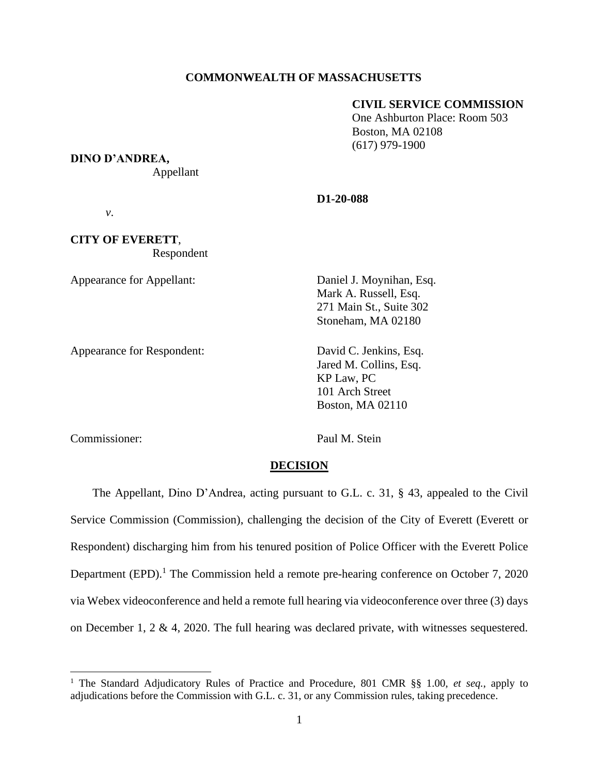# **COMMONWEALTH OF MASSACHUSETTS**

# **CIVIL SERVICE COMMISSION**

 One Ashburton Place: Room 503 Boston, MA 02108 (617) 979-1900

**DINO D'ANDREA,**

Appellant

#### **D1-20-088**

*v*.

**CITY OF EVERETT**, Respondent

Appearance for Appellant: Daniel J. Moynihan, Esq.

Appearance for Respondent: David C. Jenkins, Esq.

Mark A. Russell, Esq. 271 Main St., Suite 302 Stoneham, MA 02180

Jared M. Collins, Esq. KP Law, PC 101 Arch Street Boston, MA 02110

Commissioner: Paul M. Stein

### **DECISION**

The Appellant, Dino D'Andrea, acting pursuant to G.L. c. 31, § 43, appealed to the Civil Service Commission (Commission), challenging the decision of the City of Everett (Everett or Respondent) discharging him from his tenured position of Police Officer with the Everett Police Department (EPD).<sup>1</sup> The Commission held a remote pre-hearing conference on October 7, 2020 via Webex videoconference and held a remote full hearing via videoconference over three (3) days on December 1, 2 & 4, 2020. The full hearing was declared private, with witnesses sequestered.

<sup>1</sup> The Standard Adjudicatory Rules of Practice and Procedure, 801 CMR §§ 1.00, *et seq.*, apply to adjudications before the Commission with G.L. c. 31, or any Commission rules, taking precedence.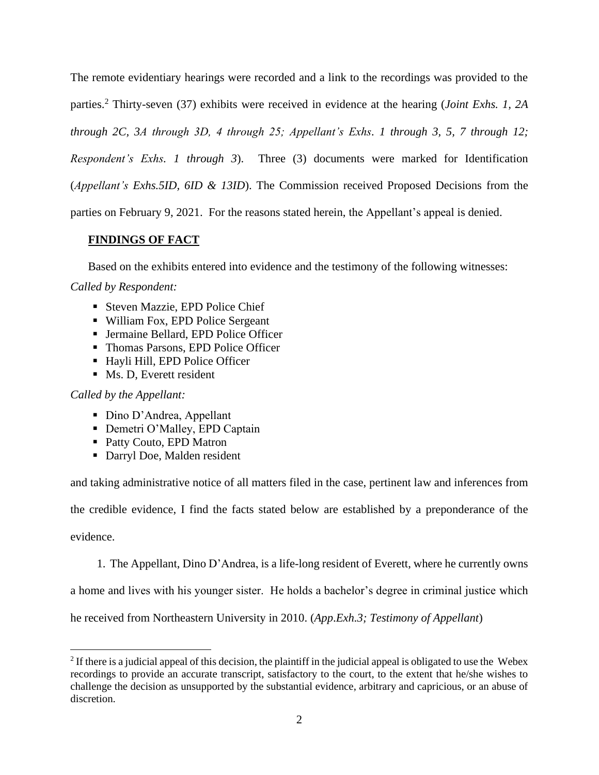The remote evidentiary hearings were recorded and a link to the recordings was provided to the parties.<sup>2</sup> Thirty-seven (37) exhibits were received in evidence at the hearing (*Joint Exhs. 1, 2A through 2C, 3A through 3D, 4 through 25; Appellant's Exhs. 1 through 3, 5, 7 through 12; Respondent's Exhs. 1 through 3*). Three (3) documents were marked for Identification

(*Appellant's Exhs.5ID, 6ID & 13ID*). The Commission received Proposed Decisions from the

parties on February 9, 2021. For the reasons stated herein, the Appellant's appeal is denied.

# **FINDINGS OF FACT**

Based on the exhibits entered into evidence and the testimony of the following witnesses:

# *Called by Respondent:*

- Steven Mazzie, EPD Police Chief
- William Fox, EPD Police Sergeant
- **Jermaine Bellard, EPD Police Officer**
- Thomas Parsons, EPD Police Officer
- Hayli Hill, EPD Police Officer
- Ms. D, Everett resident

# *Called by the Appellant:*

- Dino D'Andrea, Appellant
- **Demetri O'Malley, EPD Captain**
- Patty Couto, EPD Matron
- Darryl Doe, Malden resident

and taking administrative notice of all matters filed in the case, pertinent law and inferences from

the credible evidence, I find the facts stated below are established by a preponderance of the

evidence.

1. The Appellant, Dino D'Andrea, is a life-long resident of Everett, where he currently owns

a home and lives with his younger sister. He holds a bachelor's degree in criminal justice which

he received from Northeastern University in 2010. (*App*.*Exh.3; Testimony of Appellant*)

 $2$  If there is a judicial appeal of this decision, the plaintiff in the judicial appeal is obligated to use the Webex recordings to provide an accurate transcript, satisfactory to the court, to the extent that he/she wishes to challenge the decision as unsupported by the substantial evidence, arbitrary and capricious, or an abuse of discretion.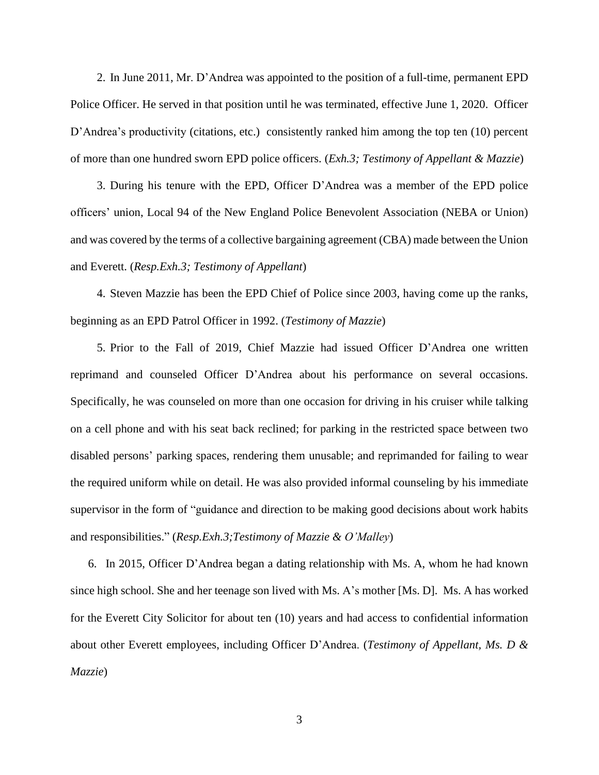2. In June 2011, Mr. D'Andrea was appointed to the position of a full-time, permanent EPD Police Officer. He served in that position until he was terminated, effective June 1, 2020. Officer D'Andrea's productivity (citations, etc.) consistently ranked him among the top ten (10) percent of more than one hundred sworn EPD police officers. (*Exh.3; Testimony of Appellant & Mazzie*)

3. During his tenure with the EPD, Officer D'Andrea was a member of the EPD police officers' union, Local 94 of the New England Police Benevolent Association (NEBA or Union) and was covered by the terms of a collective bargaining agreement (CBA) made between the Union and Everett. (*Resp.Exh.3; Testimony of Appellant*)

4. Steven Mazzie has been the EPD Chief of Police since 2003, having come up the ranks, beginning as an EPD Patrol Officer in 1992. (*Testimony of Mazzie*)

5. Prior to the Fall of 2019, Chief Mazzie had issued Officer D'Andrea one written reprimand and counseled Officer D'Andrea about his performance on several occasions. Specifically, he was counseled on more than one occasion for driving in his cruiser while talking on a cell phone and with his seat back reclined; for parking in the restricted space between two disabled persons' parking spaces, rendering them unusable; and reprimanded for failing to wear the required uniform while on detail. He was also provided informal counseling by his immediate supervisor in the form of "guidance and direction to be making good decisions about work habits and responsibilities." (*Resp.Exh.3;Testimony of Mazzie & O'Malley*)

6. In 2015, Officer D'Andrea began a dating relationship with Ms. A, whom he had known since high school. She and her teenage son lived with Ms. A's mother [Ms. D]. Ms. A has worked for the Everett City Solicitor for about ten (10) years and had access to confidential information about other Everett employees, including Officer D'Andrea. (*Testimony of Appellant, Ms. D & Mazzie*)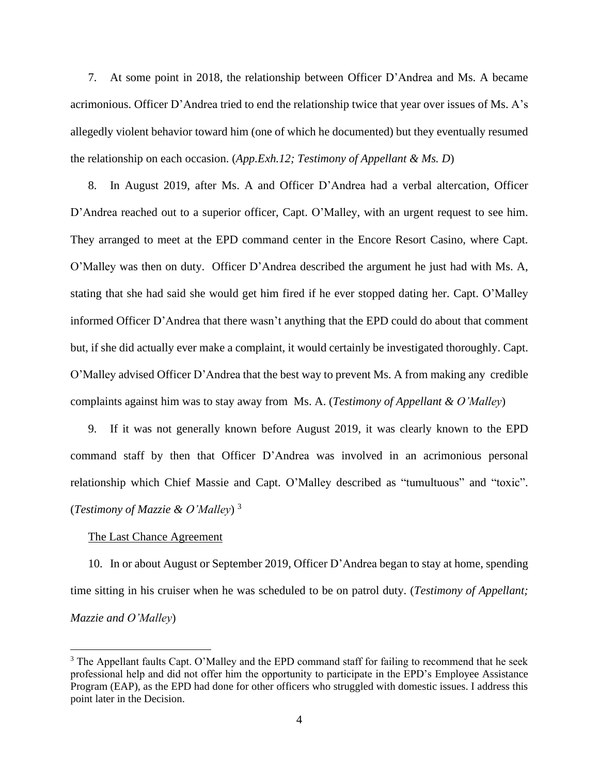7. At some point in 2018, the relationship between Officer D'Andrea and Ms. A became acrimonious. Officer D'Andrea tried to end the relationship twice that year over issues of Ms. A's allegedly violent behavior toward him (one of which he documented) but they eventually resumed the relationship on each occasion. (*App.Exh.12; Testimony of Appellant & Ms. D*)

8. In August 2019, after Ms. A and Officer D'Andrea had a verbal altercation, Officer D'Andrea reached out to a superior officer, Capt. O'Malley, with an urgent request to see him. They arranged to meet at the EPD command center in the Encore Resort Casino, where Capt. O'Malley was then on duty. Officer D'Andrea described the argument he just had with Ms. A, stating that she had said she would get him fired if he ever stopped dating her. Capt. O'Malley informed Officer D'Andrea that there wasn't anything that the EPD could do about that comment but, if she did actually ever make a complaint, it would certainly be investigated thoroughly. Capt. O'Malley advised Officer D'Andrea that the best way to prevent Ms. A from making any credible complaints against him was to stay away from Ms. A. (*Testimony of Appellant & O'Malley*)

9. If it was not generally known before August 2019, it was clearly known to the EPD command staff by then that Officer D'Andrea was involved in an acrimonious personal relationship which Chief Massie and Capt. O'Malley described as "tumultuous" and "toxic". (*Testimony of Mazzie & O'Malley*) 3

### The Last Chance Agreement

10. In or about August or September 2019, Officer D'Andrea began to stay at home, spending time sitting in his cruiser when he was scheduled to be on patrol duty. (*Testimony of Appellant; Mazzie and O'Malley*)

<sup>&</sup>lt;sup>3</sup> The Appellant faults Capt. O'Malley and the EPD command staff for failing to recommend that he seek professional help and did not offer him the opportunity to participate in the EPD's Employee Assistance Program (EAP), as the EPD had done for other officers who struggled with domestic issues. I address this point later in the Decision.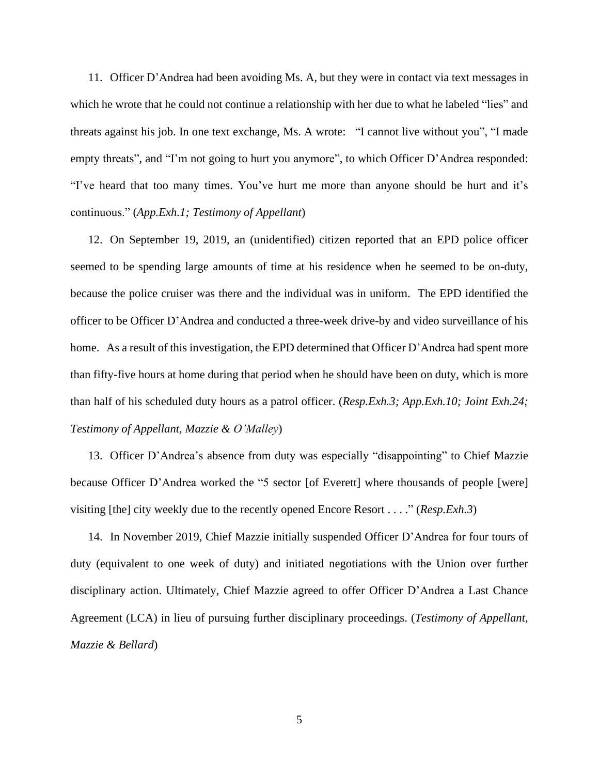11. Officer D'Andrea had been avoiding Ms. A, but they were in contact via text messages in which he wrote that he could not continue a relationship with her due to what he labeled "lies" and threats against his job. In one text exchange, Ms. A wrote: "I cannot live without you", "I made empty threats", and "I'm not going to hurt you anymore", to which Officer D'Andrea responded: "I've heard that too many times. You've hurt me more than anyone should be hurt and it's continuous." (*App.Exh.1; Testimony of Appellant*)

12. On September 19, 2019, an (unidentified) citizen reported that an EPD police officer seemed to be spending large amounts of time at his residence when he seemed to be on-duty, because the police cruiser was there and the individual was in uniform. The EPD identified the officer to be Officer D'Andrea and conducted a three-week drive-by and video surveillance of his home. As a result of this investigation, the EPD determined that Officer D'Andrea had spent more than fifty-five hours at home during that period when he should have been on duty, which is more than half of his scheduled duty hours as a patrol officer. (*Resp.Exh.3; App.Exh.10; Joint Exh.24; Testimony of Appellant, Mazzie & O'Malley*)

13. Officer D'Andrea's absence from duty was especially "disappointing" to Chief Mazzie because Officer D'Andrea worked the "5 sector [of Everett] where thousands of people [were] visiting [the] city weekly due to the recently opened Encore Resort . . . ." (*Resp.Exh.3*)

14. In November 2019, Chief Mazzie initially suspended Officer D'Andrea for four tours of duty (equivalent to one week of duty) and initiated negotiations with the Union over further disciplinary action. Ultimately, Chief Mazzie agreed to offer Officer D'Andrea a Last Chance Agreement (LCA) in lieu of pursuing further disciplinary proceedings. (*Testimony of Appellant, Mazzie & Bellard*)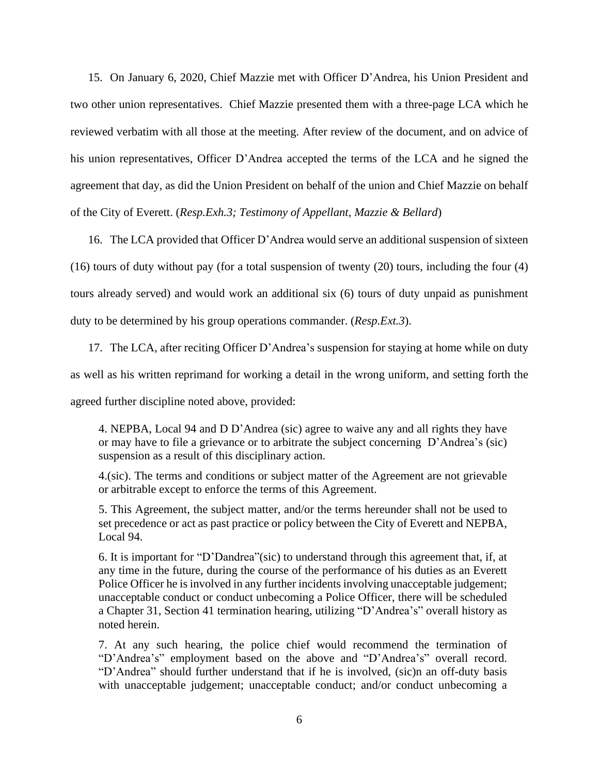15. On January 6, 2020, Chief Mazzie met with Officer D'Andrea, his Union President and two other union representatives. Chief Mazzie presented them with a three-page LCA which he reviewed verbatim with all those at the meeting. After review of the document, and on advice of his union representatives, Officer D'Andrea accepted the terms of the LCA and he signed the agreement that day, as did the Union President on behalf of the union and Chief Mazzie on behalf of the City of Everett. (*Resp.Exh.3; Testimony of Appellant, Mazzie & Bellard*)

16. The LCA provided that Officer D'Andrea would serve an additional suspension of sixteen (16) tours of duty without pay (for a total suspension of twenty (20) tours, including the four (4) tours already served) and would work an additional six (6) tours of duty unpaid as punishment duty to be determined by his group operations commander. (*Resp.Ext.3*).

17. The LCA, after reciting Officer D'Andrea's suspension for staying at home while on duty as well as his written reprimand for working a detail in the wrong uniform, and setting forth the agreed further discipline noted above, provided:

4. NEPBA, Local 94 and D D'Andrea (sic) agree to waive any and all rights they have or may have to file a grievance or to arbitrate the subject concerning D'Andrea's (sic) suspension as a result of this disciplinary action.

4.(sic). The terms and conditions or subject matter of the Agreement are not grievable or arbitrable except to enforce the terms of this Agreement.

5. This Agreement, the subject matter, and/or the terms hereunder shall not be used to set precedence or act as past practice or policy between the City of Everett and NEPBA, Local 94.

6. It is important for "D'Dandrea"(sic) to understand through this agreement that, if, at any time in the future, during the course of the performance of his duties as an Everett Police Officer he is involved in any further incidents involving unacceptable judgement; unacceptable conduct or conduct unbecoming a Police Officer, there will be scheduled a Chapter 31, Section 41 termination hearing, utilizing "D'Andrea's" overall history as noted herein.

7. At any such hearing, the police chief would recommend the termination of "D'Andrea's" employment based on the above and "D'Andrea's" overall record. "D'Andrea" should further understand that if he is involved, (sic)n an off-duty basis with unacceptable judgement; unacceptable conduct; and/or conduct unbecoming a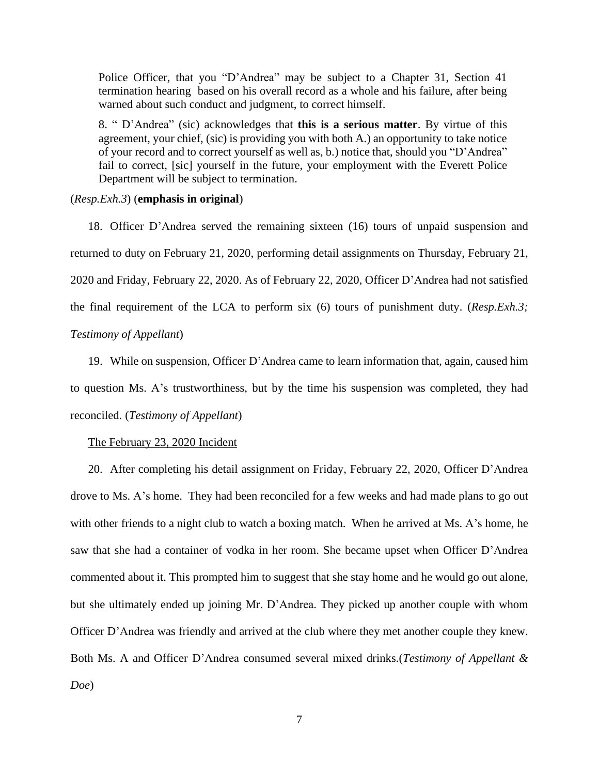Police Officer, that you "D'Andrea" may be subject to a Chapter 31, Section 41 termination hearing based on his overall record as a whole and his failure, after being warned about such conduct and judgment, to correct himself.

8. " D'Andrea" (sic) acknowledges that **this is a serious matter**. By virtue of this agreement, your chief, (sic) is providing you with both A.) an opportunity to take notice of your record and to correct yourself as well as, b.) notice that, should you "D'Andrea" fail to correct, [sic] yourself in the future, your employment with the Everett Police Department will be subject to termination.

## (*Resp.Exh.3*) (**emphasis in original**)

18. Officer D'Andrea served the remaining sixteen (16) tours of unpaid suspension and returned to duty on February 21, 2020, performing detail assignments on Thursday, February 21, 2020 and Friday, February 22, 2020. As of February 22, 2020, Officer D'Andrea had not satisfied the final requirement of the LCA to perform six (6) tours of punishment duty. (*Resp.Exh.3; Testimony of Appellant*)

19. While on suspension, Officer D'Andrea came to learn information that, again, caused him to question Ms. A's trustworthiness, but by the time his suspension was completed, they had reconciled. (*Testimony of Appellant*)

## The February 23, 2020 Incident

20. After completing his detail assignment on Friday, February 22, 2020, Officer D'Andrea drove to Ms. A's home. They had been reconciled for a few weeks and had made plans to go out with other friends to a night club to watch a boxing match. When he arrived at Ms. A's home, he saw that she had a container of vodka in her room. She became upset when Officer D'Andrea commented about it. This prompted him to suggest that she stay home and he would go out alone, but she ultimately ended up joining Mr. D'Andrea. They picked up another couple with whom Officer D'Andrea was friendly and arrived at the club where they met another couple they knew. Both Ms. A and Officer D'Andrea consumed several mixed drinks.(*Testimony of Appellant & Doe*)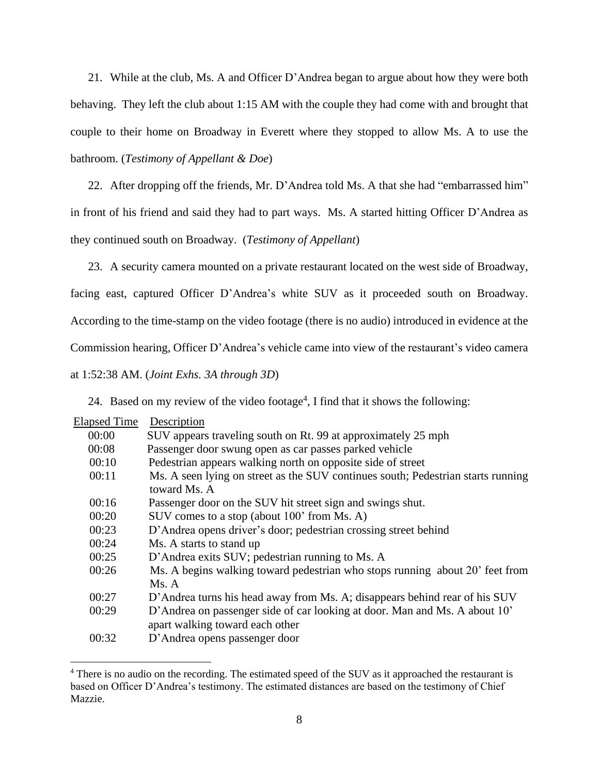21. While at the club, Ms. A and Officer D'Andrea began to argue about how they were both behaving. They left the club about 1:15 AM with the couple they had come with and brought that couple to their home on Broadway in Everett where they stopped to allow Ms. A to use the bathroom. (*Testimony of Appellant & Doe*)

22. After dropping off the friends, Mr. D'Andrea told Ms. A that she had "embarrassed him" in front of his friend and said they had to part ways. Ms. A started hitting Officer D'Andrea as they continued south on Broadway. (*Testimony of Appellant*)

23. A security camera mounted on a private restaurant located on the west side of Broadway,

facing east, captured Officer D'Andrea's white SUV as it proceeded south on Broadway.

According to the time-stamp on the video footage (there is no audio) introduced in evidence at the

Commission hearing, Officer D'Andrea's vehicle came into view of the restaurant's video camera

at 1:52:38 AM. (*Joint Exhs. 3A through 3D*)

24. Based on my review of the video footage<sup>4</sup>, I find that it shows the following:

| <b>Elapsed Time</b> | Description                                                                                                   |
|---------------------|---------------------------------------------------------------------------------------------------------------|
| 00:00               | SUV appears traveling south on Rt. 99 at approximately 25 mph                                                 |
| 00:08               | Passenger door swung open as car passes parked vehicle                                                        |
| 00:10               | Pedestrian appears walking north on opposite side of street                                                   |
| 00:11               | Ms. A seen lying on street as the SUV continues south; Pedestrian starts running<br>toward Ms. A              |
| 00:16               | Passenger door on the SUV hit street sign and swings shut.                                                    |
| 00:20               | SUV comes to a stop (about 100' from Ms. A)                                                                   |
| 00:23               | D'Andrea opens driver's door; pedestrian crossing street behind                                               |
| 00:24               | Ms. A starts to stand up                                                                                      |
| 00:25               | D'Andrea exits SUV; pedestrian running to Ms. A                                                               |
| 00:26               | Ms. A begins walking toward pedestrian who stops running about 20' feet from                                  |
|                     | Ms. A                                                                                                         |
| 00:27               | D'Andrea turns his head away from Ms. A; disappears behind rear of his SUV                                    |
| 00:29               | D'Andrea on passenger side of car looking at door. Man and Ms. A about 10'<br>apart walking toward each other |
| 00:32               | D'Andrea opens passenger door                                                                                 |

<sup>4</sup> There is no audio on the recording. The estimated speed of the SUV as it approached the restaurant is based on Officer D'Andrea's testimony. The estimated distances are based on the testimony of Chief Mazzie.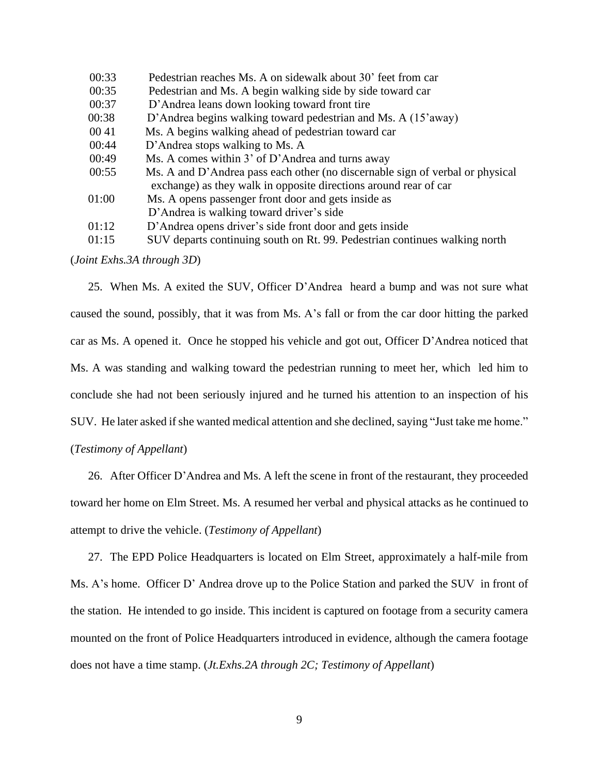| 00:33 | Pedestrian reaches Ms. A on sidewalk about 30' feet from car                                                                                      |
|-------|---------------------------------------------------------------------------------------------------------------------------------------------------|
| 00:35 | Pedestrian and Ms. A begin walking side by side toward car                                                                                        |
| 00:37 | D'Andrea leans down looking toward front tire                                                                                                     |
| 00:38 | D'Andrea begins walking toward pedestrian and Ms. A (15'away)                                                                                     |
| 0041  | Ms. A begins walking ahead of pedestrian toward car                                                                                               |
| 00:44 | D'Andrea stops walking to Ms. A                                                                                                                   |
| 00:49 | Ms. A comes within 3' of D'Andrea and turns away                                                                                                  |
| 00:55 | Ms. A and D'Andrea pass each other (no discernable sign of verbal or physical<br>exchange) as they walk in opposite directions around rear of car |
| 01:00 | Ms. A opens passenger front door and gets inside as                                                                                               |
|       | D'Andrea is walking toward driver's side                                                                                                          |
| 01:12 | D'Andrea opens driver's side front door and gets inside                                                                                           |
| 01:15 | SUV departs continuing south on Rt. 99. Pedestrian continues walking north                                                                        |

(*Joint Exhs.3A through 3D*)

25. When Ms. A exited the SUV, Officer D'Andrea heard a bump and was not sure what caused the sound, possibly, that it was from Ms. A's fall or from the car door hitting the parked car as Ms. A opened it. Once he stopped his vehicle and got out, Officer D'Andrea noticed that Ms. A was standing and walking toward the pedestrian running to meet her, which led him to conclude she had not been seriously injured and he turned his attention to an inspection of his SUV. He later asked if she wanted medical attention and she declined, saying "Just take me home." (*Testimony of Appellant*)

26. After Officer D'Andrea and Ms. A left the scene in front of the restaurant, they proceeded toward her home on Elm Street. Ms. A resumed her verbal and physical attacks as he continued to attempt to drive the vehicle. (*Testimony of Appellant*)

27. The EPD Police Headquarters is located on Elm Street, approximately a half-mile from Ms. A's home. Officer D' Andrea drove up to the Police Station and parked the SUV in front of the station. He intended to go inside. This incident is captured on footage from a security camera mounted on the front of Police Headquarters introduced in evidence, although the camera footage does not have a time stamp. (*Jt.Exhs.2A through 2C; Testimony of Appellant*)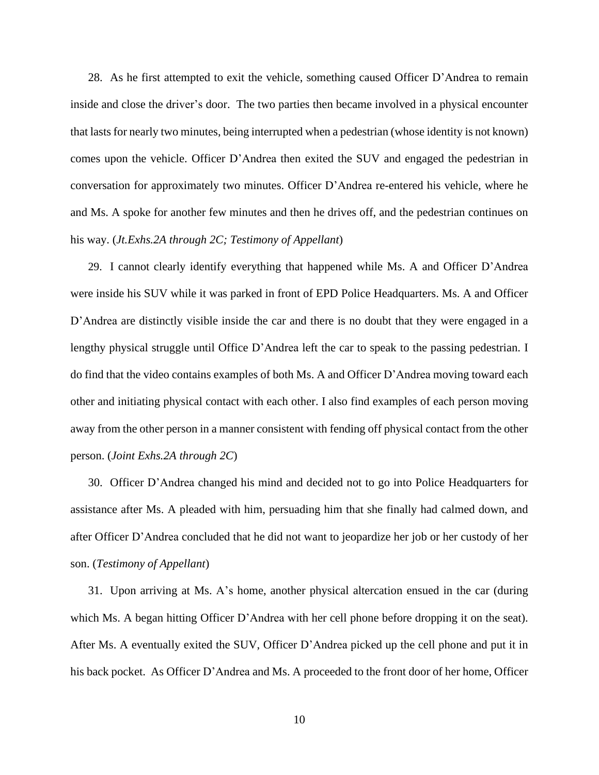28. As he first attempted to exit the vehicle, something caused Officer D'Andrea to remain inside and close the driver's door. The two parties then became involved in a physical encounter that lastsfor nearly two minutes, being interrupted when a pedestrian (whose identity is not known) comes upon the vehicle. Officer D'Andrea then exited the SUV and engaged the pedestrian in conversation for approximately two minutes. Officer D'Andrea re-entered his vehicle, where he and Ms. A spoke for another few minutes and then he drives off, and the pedestrian continues on his way. (*Jt.Exhs.2A through 2C; Testimony of Appellant*)

29. I cannot clearly identify everything that happened while Ms. A and Officer D'Andrea were inside his SUV while it was parked in front of EPD Police Headquarters. Ms. A and Officer D'Andrea are distinctly visible inside the car and there is no doubt that they were engaged in a lengthy physical struggle until Office D'Andrea left the car to speak to the passing pedestrian. I do find that the video contains examples of both Ms. A and Officer D'Andrea moving toward each other and initiating physical contact with each other. I also find examples of each person moving away from the other person in a manner consistent with fending off physical contact from the other person. (*Joint Exhs.2A through 2C*)

30. Officer D'Andrea changed his mind and decided not to go into Police Headquarters for assistance after Ms. A pleaded with him, persuading him that she finally had calmed down, and after Officer D'Andrea concluded that he did not want to jeopardize her job or her custody of her son. (*Testimony of Appellant*)

31. Upon arriving at Ms. A's home, another physical altercation ensued in the car (during which Ms. A began hitting Officer D'Andrea with her cell phone before dropping it on the seat). After Ms. A eventually exited the SUV, Officer D'Andrea picked up the cell phone and put it in his back pocket. As Officer D'Andrea and Ms. A proceeded to the front door of her home, Officer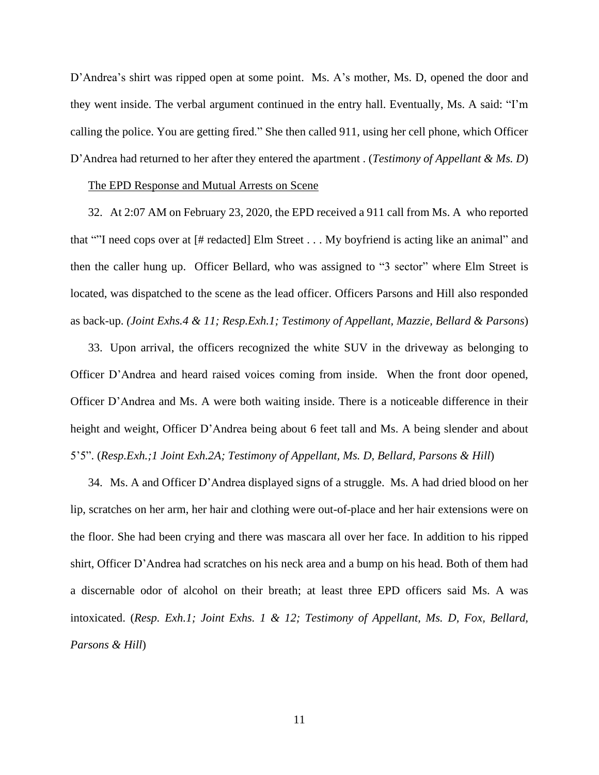D'Andrea's shirt was ripped open at some point. Ms. A's mother, Ms. D, opened the door and they went inside. The verbal argument continued in the entry hall. Eventually, Ms. A said: "I'm calling the police. You are getting fired." She then called 911, using her cell phone, which Officer D'Andrea had returned to her after they entered the apartment . (*Testimony of Appellant & Ms. D*)

#### The EPD Response and Mutual Arrests on Scene

32. At 2:07 AM on February 23, 2020, the EPD received a 911 call from Ms. A who reported that ""I need cops over at [# redacted] Elm Street . . . My boyfriend is acting like an animal" and then the caller hung up. Officer Bellard, who was assigned to "3 sector" where Elm Street is located, was dispatched to the scene as the lead officer. Officers Parsons and Hill also responded as back-up. *(Joint Exhs.4 & 11; Resp.Exh.1; Testimony of Appellant, Mazzie, Bellard & Parsons*)

33. Upon arrival, the officers recognized the white SUV in the driveway as belonging to Officer D'Andrea and heard raised voices coming from inside. When the front door opened, Officer D'Andrea and Ms. A were both waiting inside. There is a noticeable difference in their height and weight, Officer D'Andrea being about 6 feet tall and Ms. A being slender and about 5'5". (*Resp.Exh.;1 Joint Exh.2A; Testimony of Appellant, Ms. D, Bellard, Parsons & Hill*)

34. Ms. A and Officer D'Andrea displayed signs of a struggle. Ms. A had dried blood on her lip, scratches on her arm, her hair and clothing were out-of-place and her hair extensions were on the floor. She had been crying and there was mascara all over her face. In addition to his ripped shirt, Officer D'Andrea had scratches on his neck area and a bump on his head. Both of them had a discernable odor of alcohol on their breath; at least three EPD officers said Ms. A was intoxicated. (*Resp. Exh.1; Joint Exhs. 1 & 12; Testimony of Appellant, Ms. D, Fox, Bellard, Parsons & Hill*)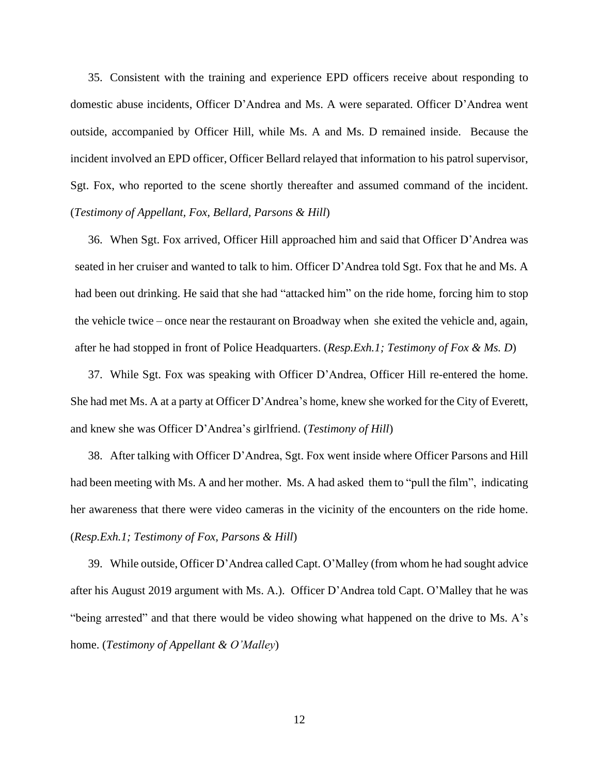35. Consistent with the training and experience EPD officers receive about responding to domestic abuse incidents, Officer D'Andrea and Ms. A were separated. Officer D'Andrea went outside, accompanied by Officer Hill, while Ms. A and Ms. D remained inside. Because the incident involved an EPD officer, Officer Bellard relayed that information to his patrol supervisor, Sgt. Fox, who reported to the scene shortly thereafter and assumed command of the incident. (*Testimony of Appellant, Fox, Bellard, Parsons & Hill*)

36. When Sgt. Fox arrived, Officer Hill approached him and said that Officer D'Andrea was seated in her cruiser and wanted to talk to him. Officer D'Andrea told Sgt. Fox that he and Ms. A had been out drinking. He said that she had "attacked him" on the ride home, forcing him to stop the vehicle twice – once near the restaurant on Broadway when she exited the vehicle and, again, after he had stopped in front of Police Headquarters. (*Resp.Exh.1; Testimony of Fox & Ms. D*)

37. While Sgt. Fox was speaking with Officer D'Andrea, Officer Hill re-entered the home. She had met Ms. A at a party at Officer D'Andrea's home, knew she worked for the City of Everett, and knew she was Officer D'Andrea's girlfriend. (*Testimony of Hill*)

38. After talking with Officer D'Andrea, Sgt. Fox went inside where Officer Parsons and Hill had been meeting with Ms. A and her mother. Ms. A had asked them to "pull the film", indicating her awareness that there were video cameras in the vicinity of the encounters on the ride home. (*Resp.Exh.1; Testimony of Fox, Parsons & Hill*)

39. While outside, Officer D'Andrea called Capt. O'Malley (from whom he had sought advice after his August 2019 argument with Ms. A.). Officer D'Andrea told Capt. O'Malley that he was "being arrested" and that there would be video showing what happened on the drive to Ms. A's home. (*Testimony of Appellant & O'Malley*)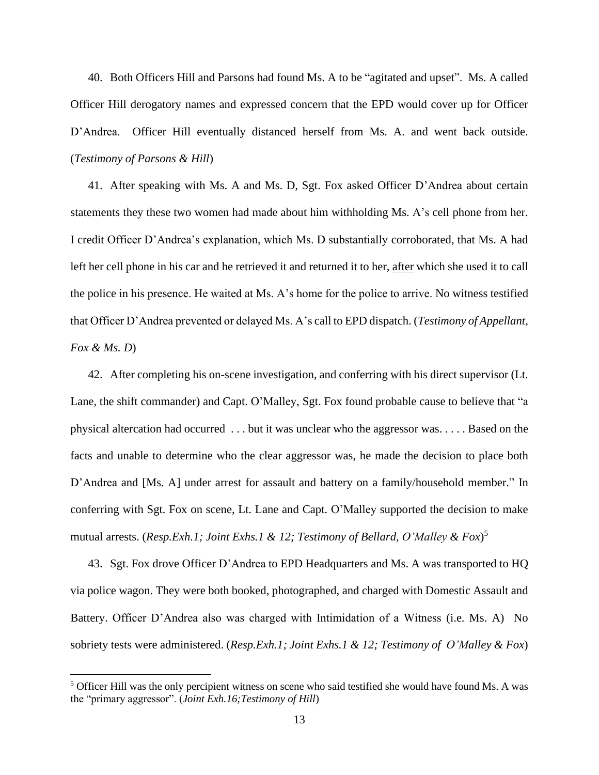40. Both Officers Hill and Parsons had found Ms. A to be "agitated and upset". Ms. A called Officer Hill derogatory names and expressed concern that the EPD would cover up for Officer D'Andrea. Officer Hill eventually distanced herself from Ms. A. and went back outside. (*Testimony of Parsons & Hill*)

41. After speaking with Ms. A and Ms. D, Sgt. Fox asked Officer D'Andrea about certain statements they these two women had made about him withholding Ms. A's cell phone from her. I credit Officer D'Andrea's explanation, which Ms. D substantially corroborated, that Ms. A had left her cell phone in his car and he retrieved it and returned it to her, after which she used it to call the police in his presence. He waited at Ms. A's home for the police to arrive. No witness testified that Officer D'Andrea prevented or delayed Ms. A's call to EPD dispatch. (*Testimony of Appellant, Fox & Ms. D*)

42. After completing his on-scene investigation, and conferring with his direct supervisor (Lt. Lane, the shift commander) and Capt. O'Malley, Sgt. Fox found probable cause to believe that "a physical altercation had occurred . . . but it was unclear who the aggressor was. . . . . Based on the facts and unable to determine who the clear aggressor was, he made the decision to place both D'Andrea and [Ms. A] under arrest for assault and battery on a family/household member." In conferring with Sgt. Fox on scene, Lt. Lane and Capt. O'Malley supported the decision to make mutual arrests. (*Resp.Exh.1; Joint Exhs.1 & 12; Testimony of Bellard, O'Malley & Fox*) 5

43. Sgt. Fox drove Officer D'Andrea to EPD Headquarters and Ms. A was transported to HQ via police wagon. They were both booked, photographed, and charged with Domestic Assault and Battery. Officer D'Andrea also was charged with Intimidation of a Witness (i.e. Ms. A) No sobriety tests were administered. (*Resp.Exh.1; Joint Exhs.1 & 12; Testimony of O'Malley & Fox*)

<sup>5</sup> Officer Hill was the only percipient witness on scene who said testified she would have found Ms. A was the "primary aggressor". (*Joint Exh.16;Testimony of Hill*)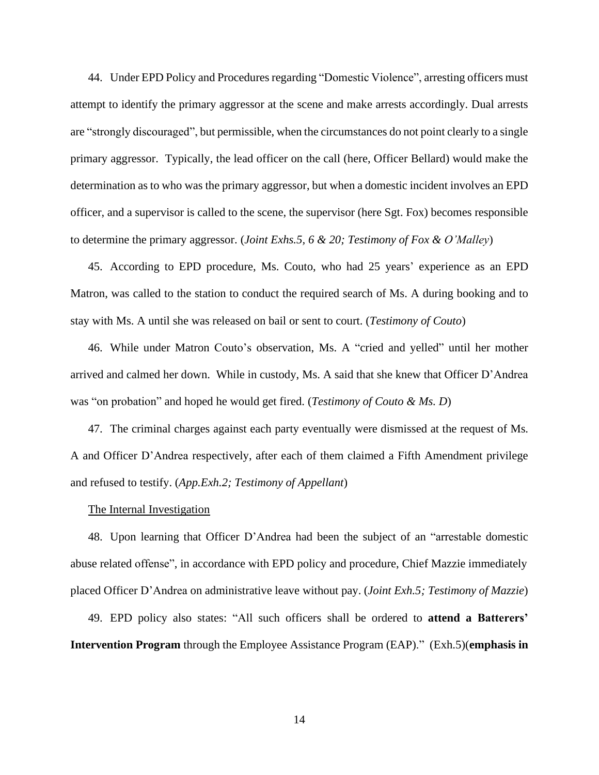44. Under EPD Policy and Procedures regarding "Domestic Violence", arresting officers must attempt to identify the primary aggressor at the scene and make arrests accordingly. Dual arrests are "strongly discouraged", but permissible, when the circumstances do not point clearly to a single primary aggressor. Typically, the lead officer on the call (here, Officer Bellard) would make the determination as to who was the primary aggressor, but when a domestic incident involves an EPD officer, and a supervisor is called to the scene, the supervisor (here Sgt. Fox) becomes responsible to determine the primary aggressor. (*Joint Exhs.5, 6 & 20; Testimony of Fox & O'Malley*)

45. According to EPD procedure, Ms. Couto, who had 25 years' experience as an EPD Matron, was called to the station to conduct the required search of Ms. A during booking and to stay with Ms. A until she was released on bail or sent to court. (*Testimony of Couto*)

46. While under Matron Couto's observation, Ms. A "cried and yelled" until her mother arrived and calmed her down. While in custody, Ms. A said that she knew that Officer D'Andrea was "on probation" and hoped he would get fired. (*Testimony of Couto & Ms. D*)

47. The criminal charges against each party eventually were dismissed at the request of Ms. A and Officer D'Andrea respectively, after each of them claimed a Fifth Amendment privilege and refused to testify. (*App.Exh.2; Testimony of Appellant*)

#### The Internal Investigation

48. Upon learning that Officer D'Andrea had been the subject of an "arrestable domestic abuse related offense", in accordance with EPD policy and procedure, Chief Mazzie immediately placed Officer D'Andrea on administrative leave without pay. (*Joint Exh.5; Testimony of Mazzie*)

49. EPD policy also states: "All such officers shall be ordered to **attend a Batterers' Intervention Program** through the Employee Assistance Program (EAP)." (Exh.5)(**emphasis in**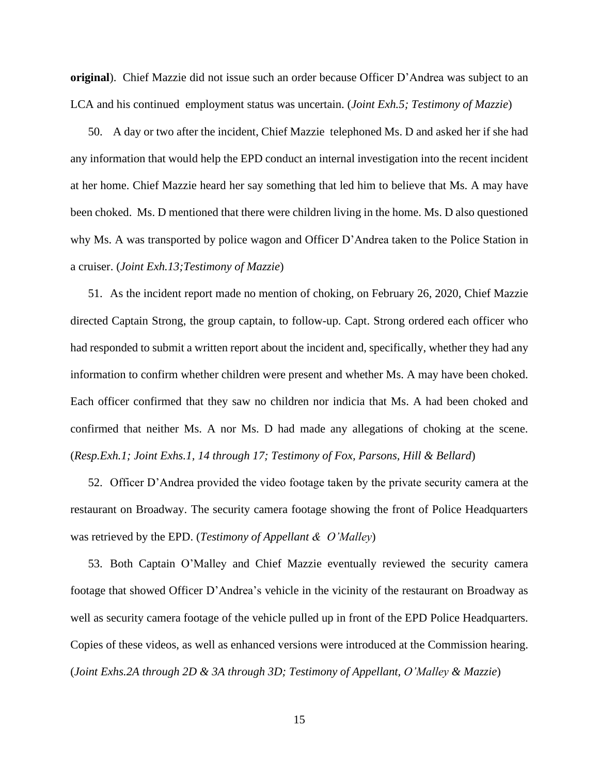**original**). Chief Mazzie did not issue such an order because Officer D'Andrea was subject to an LCA and his continued employment status was uncertain. (*Joint Exh.5; Testimony of Mazzie*)

50. A day or two after the incident, Chief Mazzie telephoned Ms. D and asked her if she had any information that would help the EPD conduct an internal investigation into the recent incident at her home. Chief Mazzie heard her say something that led him to believe that Ms. A may have been choked. Ms. D mentioned that there were children living in the home. Ms. D also questioned why Ms. A was transported by police wagon and Officer D'Andrea taken to the Police Station in a cruiser. (*Joint Exh.13;Testimony of Mazzie*)

51. As the incident report made no mention of choking, on February 26, 2020, Chief Mazzie directed Captain Strong, the group captain, to follow-up. Capt. Strong ordered each officer who had responded to submit a written report about the incident and, specifically, whether they had any information to confirm whether children were present and whether Ms. A may have been choked. Each officer confirmed that they saw no children nor indicia that Ms. A had been choked and confirmed that neither Ms. A nor Ms. D had made any allegations of choking at the scene. (*Resp.Exh.1; Joint Exhs.1, 14 through 17; Testimony of Fox, Parsons, Hill & Bellard*)

52. Officer D'Andrea provided the video footage taken by the private security camera at the restaurant on Broadway. The security camera footage showing the front of Police Headquarters was retrieved by the EPD. (*Testimony of Appellant & O'Malley*)

53. Both Captain O'Malley and Chief Mazzie eventually reviewed the security camera footage that showed Officer D'Andrea's vehicle in the vicinity of the restaurant on Broadway as well as security camera footage of the vehicle pulled up in front of the EPD Police Headquarters. Copies of these videos, as well as enhanced versions were introduced at the Commission hearing. (*Joint Exhs.2A through 2D & 3A through 3D; Testimony of Appellant, O'Malley & Mazzie*)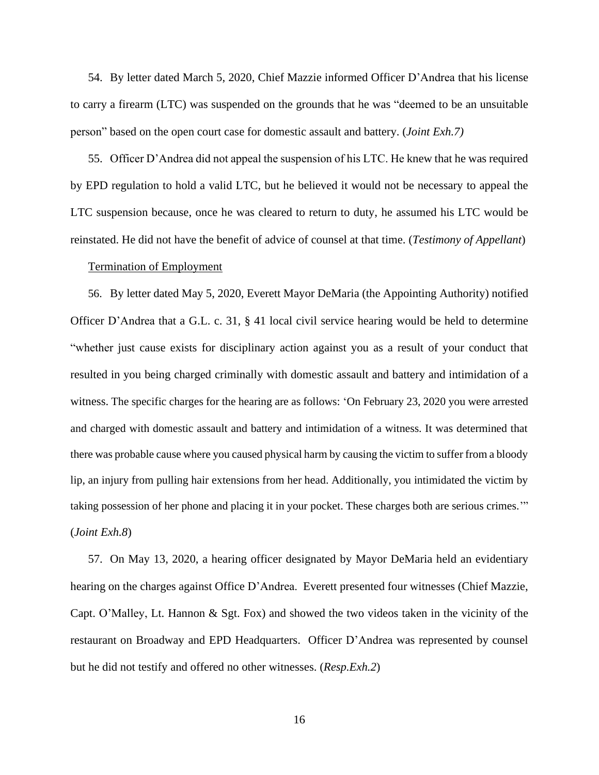54. By letter dated March 5, 2020, Chief Mazzie informed Officer D'Andrea that his license to carry a firearm (LTC) was suspended on the grounds that he was "deemed to be an unsuitable person" based on the open court case for domestic assault and battery. (*Joint Exh.7)*

55. Officer D'Andrea did not appeal the suspension of his LTC. He knew that he was required by EPD regulation to hold a valid LTC, but he believed it would not be necessary to appeal the LTC suspension because, once he was cleared to return to duty, he assumed his LTC would be reinstated. He did not have the benefit of advice of counsel at that time. (*Testimony of Appellant*)

### Termination of Employment

56. By letter dated May 5, 2020, Everett Mayor DeMaria (the Appointing Authority) notified Officer D'Andrea that a G.L. c. 31, § 41 local civil service hearing would be held to determine "whether just cause exists for disciplinary action against you as a result of your conduct that resulted in you being charged criminally with domestic assault and battery and intimidation of a witness. The specific charges for the hearing are as follows: 'On February 23, 2020 you were arrested and charged with domestic assault and battery and intimidation of a witness. It was determined that there was probable cause where you caused physical harm by causing the victim to suffer from a bloody lip, an injury from pulling hair extensions from her head. Additionally, you intimidated the victim by taking possession of her phone and placing it in your pocket. These charges both are serious crimes.'" (*Joint Exh.8*)

57. On May 13, 2020, a hearing officer designated by Mayor DeMaria held an evidentiary hearing on the charges against Office D'Andrea. Everett presented four witnesses (Chief Mazzie, Capt. O'Malley, Lt. Hannon & Sgt. Fox) and showed the two videos taken in the vicinity of the restaurant on Broadway and EPD Headquarters. Officer D'Andrea was represented by counsel but he did not testify and offered no other witnesses. (*Resp.Exh.2*)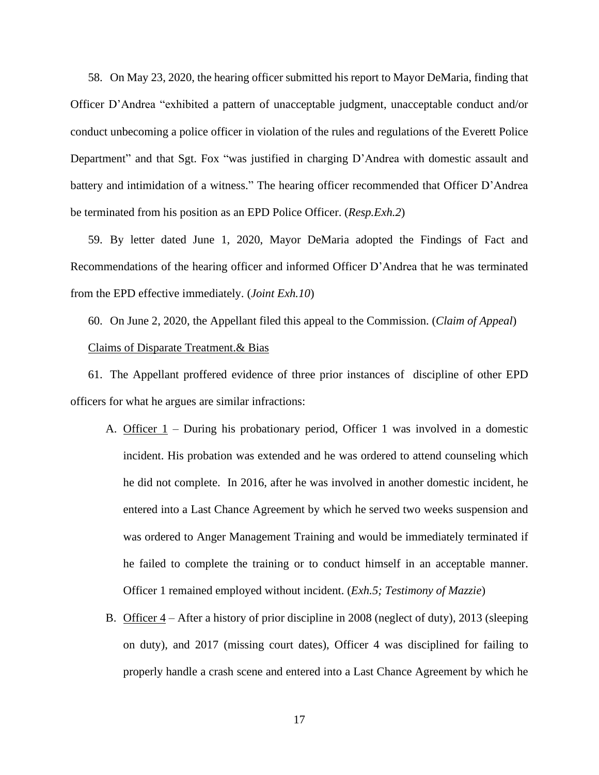58. On May 23, 2020, the hearing officer submitted his report to Mayor DeMaria, finding that Officer D'Andrea "exhibited a pattern of unacceptable judgment, unacceptable conduct and/or conduct unbecoming a police officer in violation of the rules and regulations of the Everett Police Department" and that Sgt. Fox "was justified in charging D'Andrea with domestic assault and battery and intimidation of a witness." The hearing officer recommended that Officer D'Andrea be terminated from his position as an EPD Police Officer. (*Resp.Exh.2*)

59. By letter dated June 1, 2020, Mayor DeMaria adopted the Findings of Fact and Recommendations of the hearing officer and informed Officer D'Andrea that he was terminated from the EPD effective immediately. (*Joint Exh.10*)

60. On June 2, 2020, the Appellant filed this appeal to the Commission. (*Claim of Appeal*) Claims of Disparate Treatment.& Bias

61. The Appellant proffered evidence of three prior instances of discipline of other EPD officers for what he argues are similar infractions:

- A. Officer 1 During his probationary period, Officer 1 was involved in a domestic incident. His probation was extended and he was ordered to attend counseling which he did not complete. In 2016, after he was involved in another domestic incident, he entered into a Last Chance Agreement by which he served two weeks suspension and was ordered to Anger Management Training and would be immediately terminated if he failed to complete the training or to conduct himself in an acceptable manner. Officer 1 remained employed without incident. (*Exh.5; Testimony of Mazzie*)
- B. Officer  $4 -$  After a history of prior discipline in 2008 (neglect of duty), 2013 (sleeping on duty), and 2017 (missing court dates), Officer 4 was disciplined for failing to properly handle a crash scene and entered into a Last Chance Agreement by which he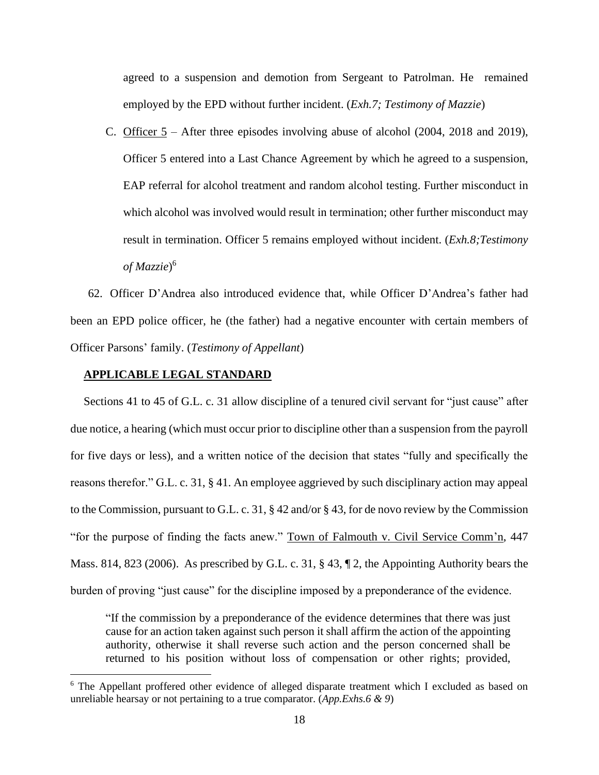agreed to a suspension and demotion from Sergeant to Patrolman. He remained employed by the EPD without further incident. (*Exh.7; Testimony of Mazzie*)

C. Officer 5 – After three episodes involving abuse of alcohol (2004, 2018 and 2019), Officer 5 entered into a Last Chance Agreement by which he agreed to a suspension, EAP referral for alcohol treatment and random alcohol testing. Further misconduct in which alcohol was involved would result in termination; other further misconduct may result in termination. Officer 5 remains employed without incident. (*Exh.8;Testimony of Mazzie*) 6

62. Officer D'Andrea also introduced evidence that, while Officer D'Andrea's father had been an EPD police officer, he (the father) had a negative encounter with certain members of Officer Parsons' family. (*Testimony of Appellant*)

## **APPLICABLE LEGAL STANDARD**

Sections 41 to 45 of G.L. c. 31 allow discipline of a tenured civil servant for "just cause" after due notice, a hearing (which must occur prior to discipline other than a suspension from the payroll for five days or less), and a written notice of the decision that states "fully and specifically the reasons therefor." G.L. c. 31, § 41. An employee aggrieved by such disciplinary action may appeal to the Commission, pursuant to G.L. c. 31, § 42 and/or § 43, for de novo review by the Commission "for the purpose of finding the facts anew." Town of Falmouth v. Civil Service Comm'n, 447 Mass. 814, 823 (2006). As prescribed by G.L. c. 31, § 43, ¶ 2, the Appointing Authority bears the burden of proving "just cause" for the discipline imposed by a preponderance of the evidence.

"If the commission by a preponderance of the evidence determines that there was just cause for an action taken against such person it shall affirm the action of the appointing authority, otherwise it shall reverse such action and the person concerned shall be returned to his position without loss of compensation or other rights; provided,

<sup>&</sup>lt;sup>6</sup> The Appellant proffered other evidence of alleged disparate treatment which I excluded as based on unreliable hearsay or not pertaining to a true comparator. (*App.Exhs.6 & 9*)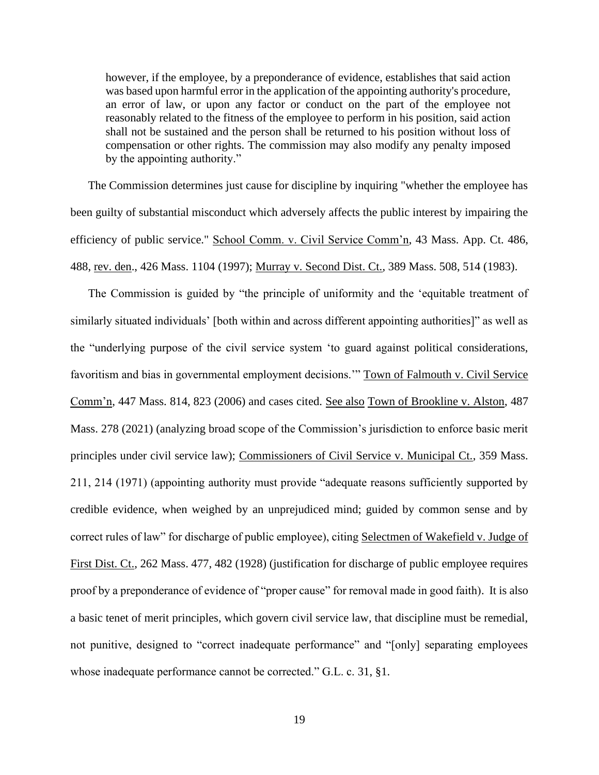however, if the employee, by a preponderance of evidence, establishes that said action was based upon harmful error in the application of the appointing authority's procedure, an error of law, or upon any factor or conduct on the part of the employee not reasonably related to the fitness of the employee to perform in his position, said action shall not be sustained and the person shall be returned to his position without loss of compensation or other rights. The commission may also modify any penalty imposed by the appointing authority."

The Commission determines just cause for discipline by inquiring "whether the employee has been guilty of substantial misconduct which adversely affects the public interest by impairing the efficiency of public service." School Comm. v. Civil Service Comm'n, 43 Mass. App. Ct. 486, 488, rev. den., 426 Mass. 1104 (1997); Murray v. Second Dist. Ct., 389 Mass. 508, 514 (1983).

The Commission is guided by "the principle of uniformity and the 'equitable treatment of similarly situated individuals' [both within and across different appointing authorities]" as well as the "underlying purpose of the civil service system 'to guard against political considerations, favoritism and bias in governmental employment decisions.'" Town of Falmouth v. Civil Service Comm'n, 447 Mass. 814, 823 (2006) and cases cited. See also Town of Brookline v. Alston, 487 Mass. 278 (2021) (analyzing broad scope of the Commission's jurisdiction to enforce basic merit principles under civil service law); Commissioners of Civil Service v. Municipal Ct., 359 Mass. 211, 214 (1971) (appointing authority must provide "adequate reasons sufficiently supported by credible evidence, when weighed by an unprejudiced mind; guided by common sense and by correct rules of law" for discharge of public employee), citing Selectmen of Wakefield v. Judge of First Dist. Ct., 262 Mass. 477, 482 (1928) (justification for discharge of public employee requires proof by a preponderance of evidence of "proper cause" for removal made in good faith). It is also a basic tenet of merit principles, which govern civil service law, that discipline must be remedial, not punitive, designed to "correct inadequate performance" and "[only] separating employees whose inadequate performance cannot be corrected." G.L. c. 31, §1.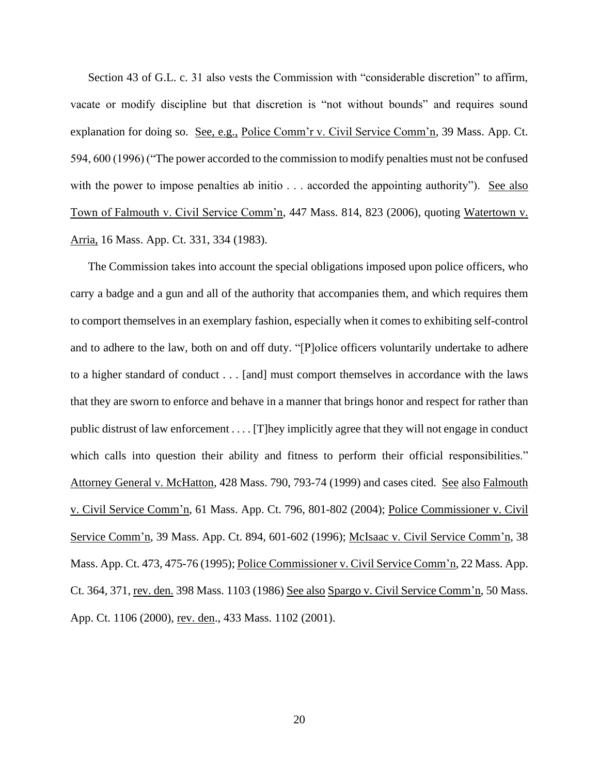Section 43 of G.L. c. 31 also vests the Commission with "considerable discretion" to affirm, vacate or modify discipline but that discretion is "not without bounds" and requires sound explanation for doing so. See, e.g., Police Comm'r v. Civil Service Comm'n, 39 Mass. App. Ct. 594, 600 (1996) ("The power accorded to the commission to modify penalties must not be confused with the power to impose penalties ab initio . . . accorded the appointing authority"). See also Town of Falmouth v. Civil Service Comm'n, 447 Mass. 814, 823 (2006), quoting Watertown v. Arria, 16 Mass. App. Ct. 331, 334 (1983).

The Commission takes into account the special obligations imposed upon police officers, who carry a badge and a gun and all of the authority that accompanies them, and which requires them to comport themselves in an exemplary fashion, especially when it comes to exhibiting self-control and to adhere to the law, both on and off duty. "[P]olice officers voluntarily undertake to adhere to a higher standard of conduct . . . [and] must comport themselves in accordance with the laws that they are sworn to enforce and behave in a manner that brings honor and respect for rather than public distrust of law enforcement . . . . [T]hey implicitly agree that they will not engage in conduct which calls into question their ability and fitness to perform their official responsibilities." Attorney General v. McHatton, 428 Mass. 790, 793-74 (1999) and cases cited. See also Falmouth v. Civil Service Comm'n, 61 Mass. App. Ct. 796, 801-802 (2004); Police Commissioner v. Civil Service Comm'n, 39 Mass. App. Ct. 894, 601-602 (1996); McIsaac v. Civil Service Comm'n, 38 Mass. App. Ct. 473, 475-76 (1995); Police Commissioner v. Civil Service Comm'n, 22 Mass. App. Ct. 364, 371, rev. den. 398 Mass. 1103 (1986) See also Spargo v. Civil Service Comm'n, 50 Mass. App. Ct. 1106 (2000), rev. den., 433 Mass. 1102 (2001).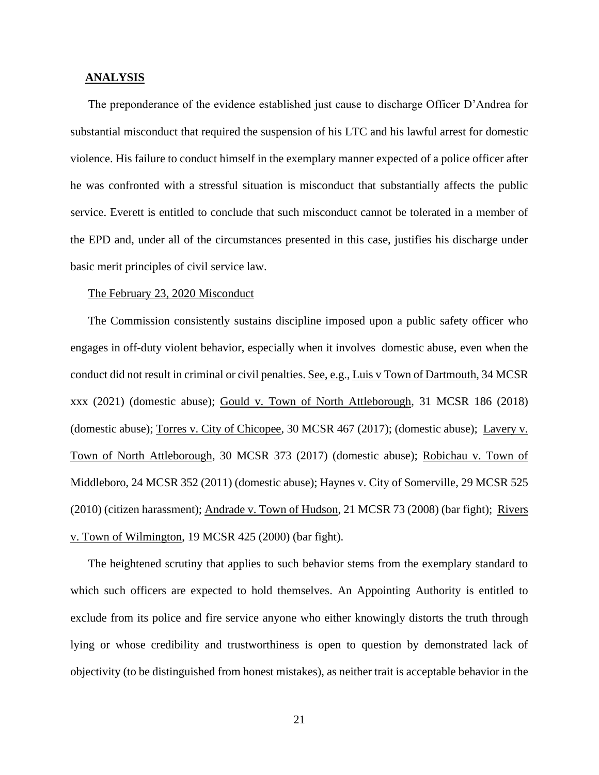### **ANALYSIS**

The preponderance of the evidence established just cause to discharge Officer D'Andrea for substantial misconduct that required the suspension of his LTC and his lawful arrest for domestic violence. His failure to conduct himself in the exemplary manner expected of a police officer after he was confronted with a stressful situation is misconduct that substantially affects the public service. Everett is entitled to conclude that such misconduct cannot be tolerated in a member of the EPD and, under all of the circumstances presented in this case, justifies his discharge under basic merit principles of civil service law.

#### The February 23, 2020 Misconduct

The Commission consistently sustains discipline imposed upon a public safety officer who engages in off-duty violent behavior, especially when it involves domestic abuse, even when the conduct did not result in criminal or civil penalties. See, e.g., Luis v Town of Dartmouth, 34 MCSR xxx (2021) (domestic abuse); Gould v. Town of North Attleborough, 31 MCSR 186 (2018) (domestic abuse); Torres v. City of Chicopee, 30 MCSR 467 (2017); (domestic abuse); Lavery v. Town of North Attleborough, 30 MCSR 373 (2017) (domestic abuse); Robichau v. Town of Middleboro, 24 MCSR 352 (2011) (domestic abuse); Haynes v. City of Somerville, 29 MCSR 525 (2010) (citizen harassment); Andrade v. Town of Hudson, 21 MCSR 73 (2008) (bar fight); Rivers v. Town of Wilmington, 19 MCSR 425 (2000) (bar fight).

The heightened scrutiny that applies to such behavior stems from the exemplary standard to which such officers are expected to hold themselves. An Appointing Authority is entitled to exclude from its police and fire service anyone who either knowingly distorts the truth through lying or whose credibility and trustworthiness is open to question by demonstrated lack of objectivity (to be distinguished from honest mistakes), as neither trait is acceptable behavior in the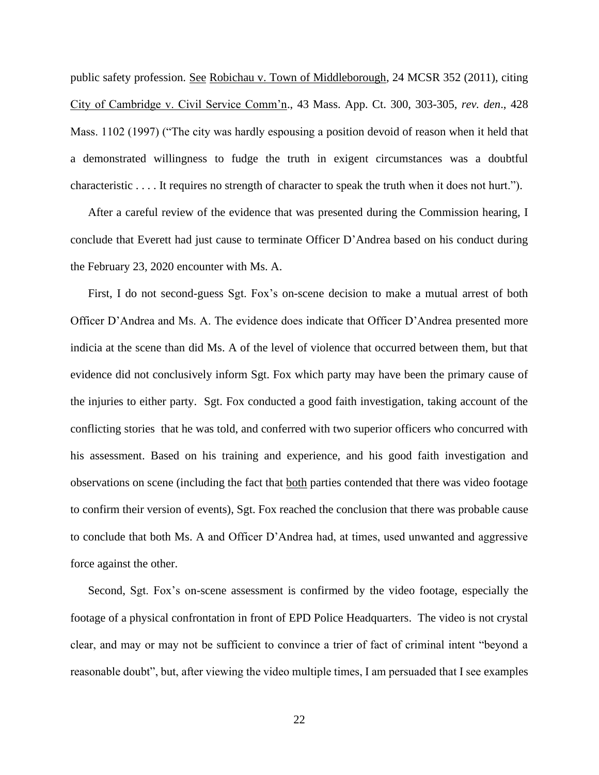public safety profession. See Robichau v. Town of Middleborough, 24 MCSR 352 (2011), citing City of Cambridge v. Civil Service Comm'n., 43 Mass. App. Ct. 300, 303-305, *rev. den*., 428 Mass. 1102 (1997) ("The city was hardly espousing a position devoid of reason when it held that a demonstrated willingness to fudge the truth in exigent circumstances was a doubtful characteristic . . . . It requires no strength of character to speak the truth when it does not hurt.").

After a careful review of the evidence that was presented during the Commission hearing, I conclude that Everett had just cause to terminate Officer D'Andrea based on his conduct during the February 23, 2020 encounter with Ms. A.

First, I do not second-guess Sgt. Fox's on-scene decision to make a mutual arrest of both Officer D'Andrea and Ms. A. The evidence does indicate that Officer D'Andrea presented more indicia at the scene than did Ms. A of the level of violence that occurred between them, but that evidence did not conclusively inform Sgt. Fox which party may have been the primary cause of the injuries to either party. Sgt. Fox conducted a good faith investigation, taking account of the conflicting stories that he was told, and conferred with two superior officers who concurred with his assessment. Based on his training and experience, and his good faith investigation and observations on scene (including the fact that both parties contended that there was video footage to confirm their version of events), Sgt. Fox reached the conclusion that there was probable cause to conclude that both Ms. A and Officer D'Andrea had, at times, used unwanted and aggressive force against the other.

Second, Sgt. Fox's on-scene assessment is confirmed by the video footage, especially the footage of a physical confrontation in front of EPD Police Headquarters. The video is not crystal clear, and may or may not be sufficient to convince a trier of fact of criminal intent "beyond a reasonable doubt", but, after viewing the video multiple times, I am persuaded that I see examples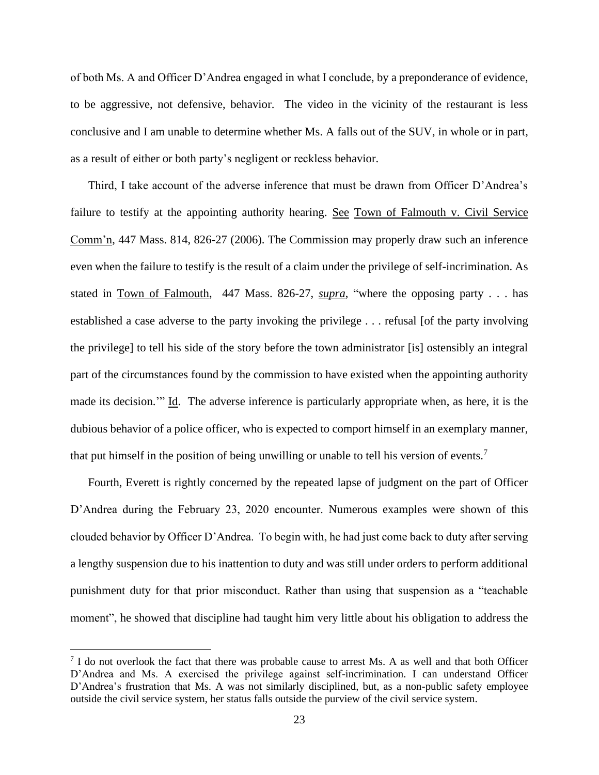of both Ms. A and Officer D'Andrea engaged in what I conclude, by a preponderance of evidence, to be aggressive, not defensive, behavior. The video in the vicinity of the restaurant is less conclusive and I am unable to determine whether Ms. A falls out of the SUV, in whole or in part, as a result of either or both party's negligent or reckless behavior.

Third, I take account of the adverse inference that must be drawn from Officer D'Andrea's failure to testify at the appointing authority hearing. See Town of Falmouth v. Civil Service Comm'n, 447 Mass. 814, 826-27 (2006). The Commission may properly draw such an inference even when the failure to testify is the result of a claim under the privilege of self-incrimination. As stated in Town of Falmouth, 447 Mass. 826-27, *supra*, "where the opposing party . . . has established a case adverse to the party invoking the privilege . . . refusal [of the party involving the privilege] to tell his side of the story before the town administrator [is] ostensibly an integral part of the circumstances found by the commission to have existed when the appointing authority made its decision.'" Id. The adverse inference is particularly appropriate when, as here, it is the dubious behavior of a police officer, who is expected to comport himself in an exemplary manner, that put himself in the position of being unwilling or unable to tell his version of events.<sup>7</sup>

Fourth, Everett is rightly concerned by the repeated lapse of judgment on the part of Officer D'Andrea during the February 23, 2020 encounter. Numerous examples were shown of this clouded behavior by Officer D'Andrea. To begin with, he had just come back to duty after serving a lengthy suspension due to his inattention to duty and was still under orders to perform additional punishment duty for that prior misconduct. Rather than using that suspension as a "teachable moment", he showed that discipline had taught him very little about his obligation to address the

<sup>&</sup>lt;sup>7</sup> I do not overlook the fact that there was probable cause to arrest Ms. A as well and that both Officer D'Andrea and Ms. A exercised the privilege against self-incrimination. I can understand Officer D'Andrea's frustration that Ms. A was not similarly disciplined, but, as a non-public safety employee outside the civil service system, her status falls outside the purview of the civil service system.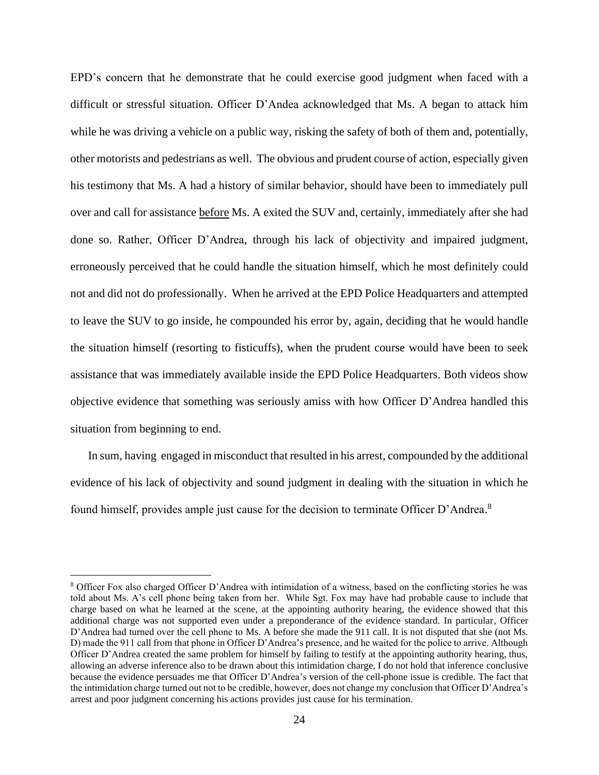EPD's concern that he demonstrate that he could exercise good judgment when faced with a difficult or stressful situation. Officer D'Andea acknowledged that Ms. A began to attack him while he was driving a vehicle on a public way, risking the safety of both of them and, potentially, other motorists and pedestrians as well. The obvious and prudent course of action, especially given his testimony that Ms. A had a history of similar behavior, should have been to immediately pull over and call for assistance before Ms. A exited the SUV and, certainly, immediately after she had done so. Rather, Officer D'Andrea, through his lack of objectivity and impaired judgment, erroneously perceived that he could handle the situation himself, which he most definitely could not and did not do professionally. When he arrived at the EPD Police Headquarters and attempted to leave the SUV to go inside, he compounded his error by, again, deciding that he would handle the situation himself (resorting to fisticuffs), when the prudent course would have been to seek assistance that was immediately available inside the EPD Police Headquarters. Both videos show objective evidence that something was seriously amiss with how Officer D'Andrea handled this situation from beginning to end.

In sum, having engaged in misconduct that resulted in his arrest, compounded by the additional evidence of his lack of objectivity and sound judgment in dealing with the situation in which he found himself, provides ample just cause for the decision to terminate Officer D'Andrea.<sup>8</sup>

<sup>8</sup> Officer Fox also charged Officer D'Andrea with intimidation of a witness, based on the conflicting stories he was told about Ms. A's cell phone being taken from her. While Sgt. Fox may have had probable cause to include that charge based on what he learned at the scene, at the appointing authority hearing, the evidence showed that this additional charge was not supported even under a preponderance of the evidence standard. In particular, Officer D'Andrea had turned over the cell phone to Ms. A before she made the 911 call. It is not disputed that she (not Ms. D) made the 911 call from that phone in Officer D'Andrea's presence, and he waited for the police to arrive. Although Officer D'Andrea created the same problem for himself by failing to testify at the appointing authority hearing, thus, allowing an adverse inference also to be drawn about this intimidation charge, I do not hold that inference conclusive because the evidence persuades me that Officer D'Andrea's version of the cell-phone issue is credible. The fact that the intimidation charge turned out not to be credible, however, does not change my conclusion that Officer D'Andrea's arrest and poor judgment concerning his actions provides just cause for his termination.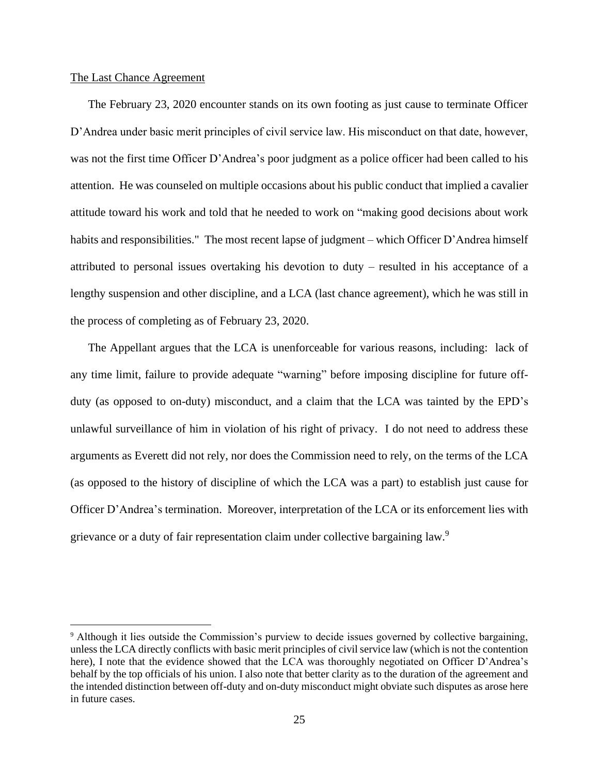## The Last Chance Agreement

The February 23, 2020 encounter stands on its own footing as just cause to terminate Officer D'Andrea under basic merit principles of civil service law. His misconduct on that date, however, was not the first time Officer D'Andrea's poor judgment as a police officer had been called to his attention. He was counseled on multiple occasions about his public conduct that implied a cavalier attitude toward his work and told that he needed to work on "making good decisions about work habits and responsibilities." The most recent lapse of judgment – which Officer D'Andrea himself attributed to personal issues overtaking his devotion to duty – resulted in his acceptance of a lengthy suspension and other discipline, and a LCA (last chance agreement), which he was still in the process of completing as of February 23, 2020.

The Appellant argues that the LCA is unenforceable for various reasons, including: lack of any time limit, failure to provide adequate "warning" before imposing discipline for future offduty (as opposed to on-duty) misconduct, and a claim that the LCA was tainted by the EPD's unlawful surveillance of him in violation of his right of privacy. I do not need to address these arguments as Everett did not rely, nor does the Commission need to rely, on the terms of the LCA (as opposed to the history of discipline of which the LCA was a part) to establish just cause for Officer D'Andrea's termination. Moreover, interpretation of the LCA or its enforcement lies with grievance or a duty of fair representation claim under collective bargaining law.<sup>9</sup>

<sup>9</sup> Although it lies outside the Commission's purview to decide issues governed by collective bargaining, unless the LCA directly conflicts with basic merit principles of civil service law (which is not the contention here), I note that the evidence showed that the LCA was thoroughly negotiated on Officer D'Andrea's behalf by the top officials of his union. I also note that better clarity as to the duration of the agreement and the intended distinction between off-duty and on-duty misconduct might obviate such disputes as arose here in future cases.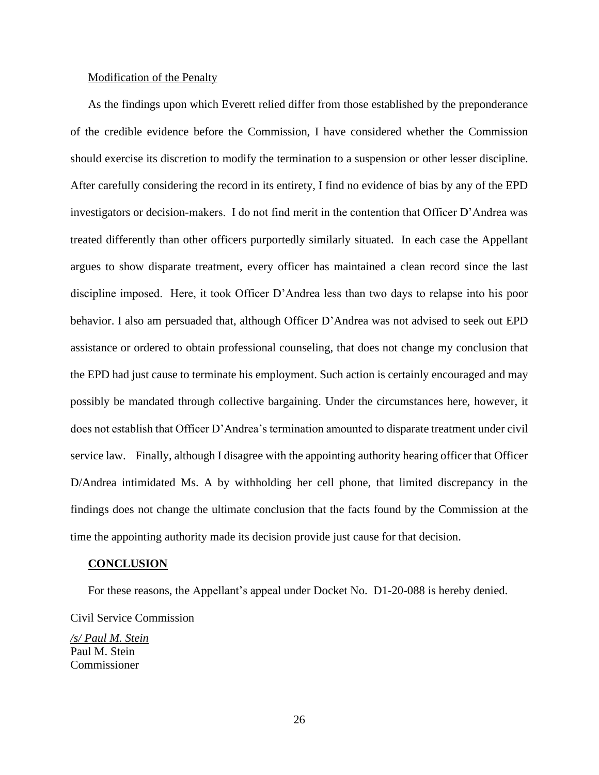#### Modification of the Penalty

As the findings upon which Everett relied differ from those established by the preponderance of the credible evidence before the Commission, I have considered whether the Commission should exercise its discretion to modify the termination to a suspension or other lesser discipline. After carefully considering the record in its entirety, I find no evidence of bias by any of the EPD investigators or decision-makers. I do not find merit in the contention that Officer D'Andrea was treated differently than other officers purportedly similarly situated. In each case the Appellant argues to show disparate treatment, every officer has maintained a clean record since the last discipline imposed. Here, it took Officer D'Andrea less than two days to relapse into his poor behavior. I also am persuaded that, although Officer D'Andrea was not advised to seek out EPD assistance or ordered to obtain professional counseling, that does not change my conclusion that the EPD had just cause to terminate his employment. Such action is certainly encouraged and may possibly be mandated through collective bargaining. Under the circumstances here, however, it does not establish that Officer D'Andrea's termination amounted to disparate treatment under civil service law. Finally, although I disagree with the appointing authority hearing officer that Officer D/Andrea intimidated Ms. A by withholding her cell phone, that limited discrepancy in the findings does not change the ultimate conclusion that the facts found by the Commission at the time the appointing authority made its decision provide just cause for that decision.

#### **CONCLUSION**

For these reasons, the Appellant's appeal under Docket No. D1-20-088 is hereby denied. Civil Service Commission

*/s/ Paul M. Stein* Paul M. Stein Commissioner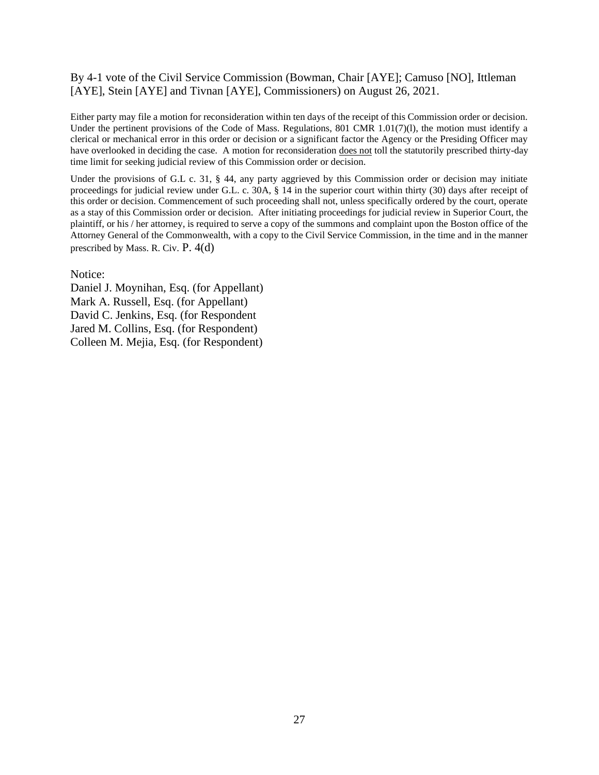# By 4-1 vote of the Civil Service Commission (Bowman, Chair [AYE]; Camuso [NO], Ittleman [AYE], Stein [AYE] and Tivnan [AYE], Commissioners) on August 26, 2021.

Either party may file a motion for reconsideration within ten days of the receipt of this Commission order or decision. Under the pertinent provisions of the Code of Mass. Regulations, 801 CMR 1.01(7)(1), the motion must identify a clerical or mechanical error in this order or decision or a significant factor the Agency or the Presiding Officer may have overlooked in deciding the case. A motion for reconsideration does not toll the statutorily prescribed thirty-day time limit for seeking judicial review of this Commission order or decision.

Under the provisions of G.L c. 31, § 44, any party aggrieved by this Commission order or decision may initiate proceedings for judicial review under G.L. c. 30A, § 14 in the superior court within thirty (30) days after receipt of this order or decision. Commencement of such proceeding shall not, unless specifically ordered by the court, operate as a stay of this Commission order or decision. After initiating proceedings for judicial review in Superior Court, the plaintiff, or his / her attorney, is required to serve a copy of the summons and complaint upon the Boston office of the Attorney General of the Commonwealth, with a copy to the Civil Service Commission, in the time and in the manner prescribed by Mass. R. Civ. P. 4(d)

Notice:

Daniel J. Moynihan, Esq. (for Appellant) Mark A. Russell, Esq. (for Appellant) David C. Jenkins, Esq. (for Respondent Jared M. Collins, Esq. (for Respondent) Colleen M. Mejia, Esq. (for Respondent)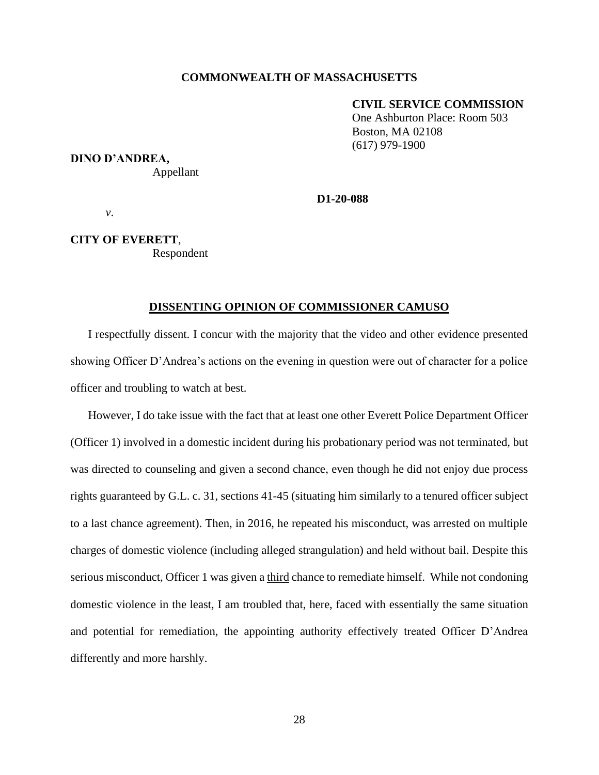## **COMMONWEALTH OF MASSACHUSETTS**

#### **CIVIL SERVICE COMMISSION**

 One Ashburton Place: Room 503 Boston, MA 02108 (617) 979-1900

## **DINO D'ANDREA,**

Appellant

**D1-20-088**

*v*.

# **CITY OF EVERETT**, Respondent

## **DISSENTING OPINION OF COMMISSIONER CAMUSO**

I respectfully dissent. I concur with the majority that the video and other evidence presented showing Officer D'Andrea's actions on the evening in question were out of character for a police officer and troubling to watch at best.

However, I do take issue with the fact that at least one other Everett Police Department Officer (Officer 1) involved in a domestic incident during his probationary period was not terminated, but was directed to counseling and given a second chance, even though he did not enjoy due process rights guaranteed by G.L. c. 31, sections 41-45 (situating him similarly to a tenured officer subject to a last chance agreement). Then, in 2016, he repeated his misconduct, was arrested on multiple charges of domestic violence (including alleged strangulation) and held without bail. Despite this serious misconduct, Officer 1 was given a third chance to remediate himself. While not condoning domestic violence in the least, I am troubled that, here, faced with essentially the same situation and potential for remediation, the appointing authority effectively treated Officer D'Andrea differently and more harshly.